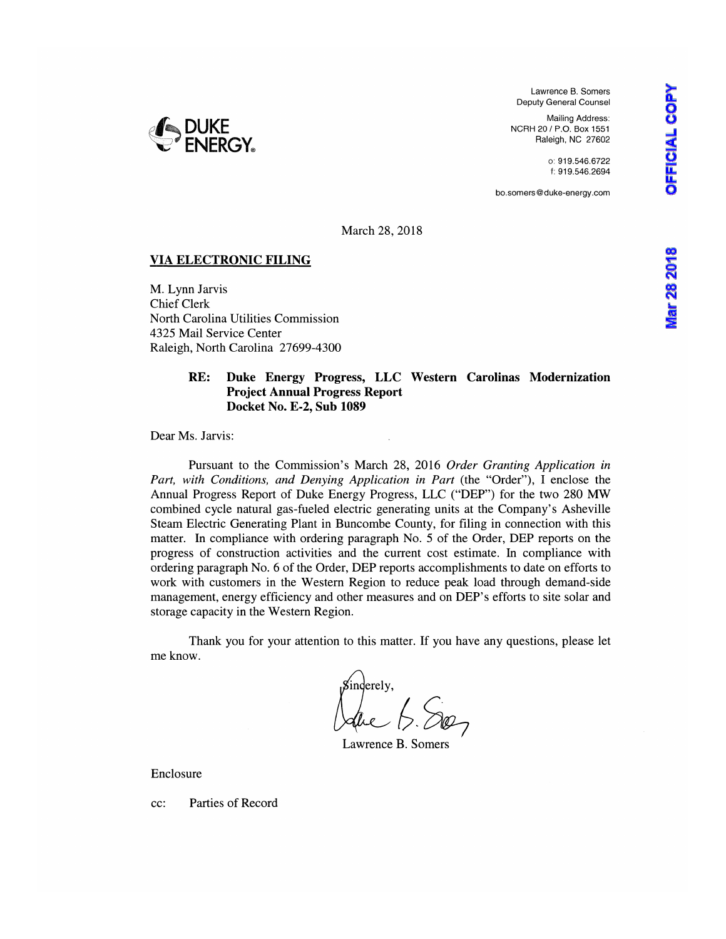Lawrence B. Somers Deputy General Counsel

Mailing Address: NCRH 20 / P.O. Box 1551 Raleigh, NC 27602

> o: 919.546.6722 f: 919.546.2694

bo.somers@duke-energy.com

**Viar 28 2018** 



March 28, 2018

## **VIA ELECTRONIC FILING**

M. Lynn Jarvis Chief Clerk North Carolina Utilities Commission 4325 Mail Service Center Raleigh, North Carolina 27699-4300

#### **RE: Duke Energy Progress, LLC Western Carolinas Modernization Project Annual Progress Report Docket No. E-2, Sub 1089**

Dear Ms. Jarvis:

Pursuant to the Commission's March 28, 2016 *Order Granting Application in Part, with Conditions, and Denying Application in Part (the "Order"), I enclose the* Annual Progress Report of Duke Energy Progress, LLC ("DEP") for the two 280 MW combined cycle natural gas-fueled electric generating units at the Company's Asheville Steam Electric Generating Plant in Buncombe County, for filing in connection with this matter. In compliance with ordering paragraph No. 5 of the Order, DEP reports on the progress of construction activities and the current cost estimate. In compliance with ordering paragraph No. 6 of the Order, DEP reports accomplishments to date on efforts to work with customers in the Western Region to reduce peak load through demand-side management, energy efficiency and other measures and on DEP's efforts to site solar and storage capacity in the Western Region.

Thank you for your attention to this matter. If you have any questions, please let me know.

*f* inderely,<br>Calue B. Song

Lawrence B. Somers

Enclosure

cc: Parties of Record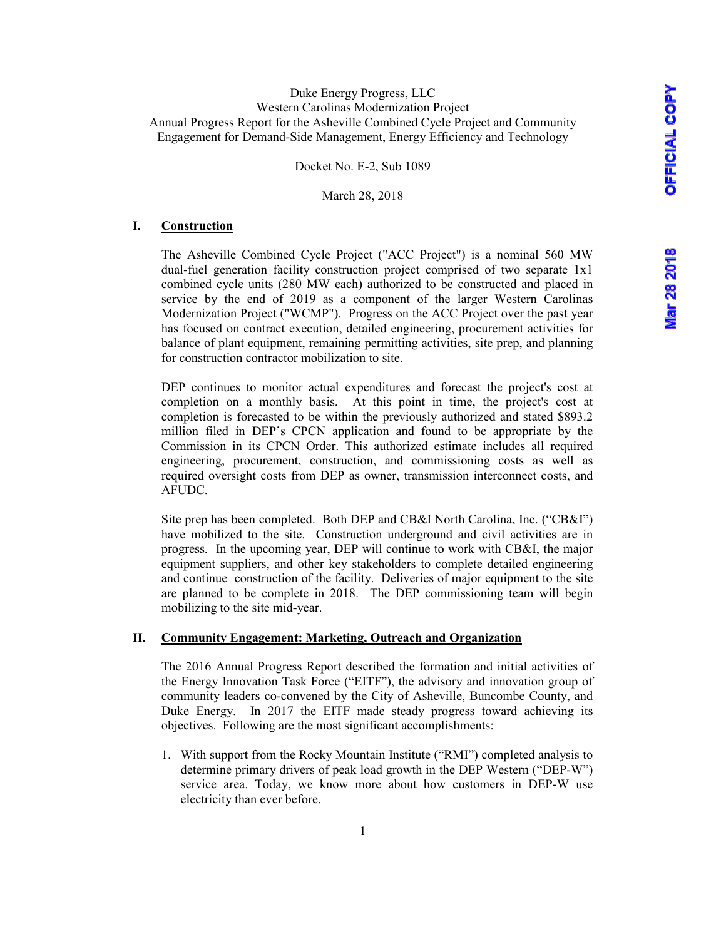Docket No. E-2, Sub 1089

March 28, 2018

#### **I. Construction**

The Asheville Combined Cycle Project ("ACC Project") is a nominal 560 MW dual-fuel generation facility construction project comprised of two separate 1x1 combined cycle units (280 MW each) authorized to be constructed and placed in service by the end of 2019 as a component of the larger Western Carolinas Modernization Project ("WCMP"). Progress on the ACC Project over the past year has focused on contract execution, detailed engineering, procurement activities for balance of plant equipment, remaining permitting activities, site prep, and planning for construction contractor mobilization to site.

DEP continues to monitor actual expenditures and forecast the project's cost at completion on a monthly basis. At this point in time, the project's cost at completion is forecasted to be within the previously authorized and stated \$893.2 million filed in DEP's CPCN application and found to be appropriate by the Commission in its CPCN Order. This authorized estimate includes all required engineering, procurement, construction, and commissioning costs as well as required oversight costs from DEP as owner, transmission interconnect costs, and AFUDC.

Site prep has been completed. Both DEP and CB&I North Carolina, Inc. ("CB&I") have mobilized to the site. Construction underground and civil activities are in progress. In the upcoming year, DEP will continue to work with CB&I, the major equipment suppliers, and other key stakeholders to complete detailed engineering and continue construction of the facility. Deliveries of major equipment to the site are planned to be complete in 2018. The DEP commissioning team will begin mobilizing to the site mid-year.

#### **II. Community Engagement: Marketing, Outreach and Organization**

The 2016 Annual Progress Report described the formation and initial activities of the Energy Innovation Task Force ("EITF"), the advisory and innovation group of community leaders co-convened by the City of Asheville, Buncombe County, and Duke Energy. In 2017 the EITF made steady progress toward achieving its objectives. Following are the most significant accomplishments:

1. With support from the Rocky Mountain Institute ("RMI") completed analysis to determine primary drivers of peak load growth in the DEP Western ("DEP-W") service area. Today, we know more about how customers in DEP-W use electricity than ever before.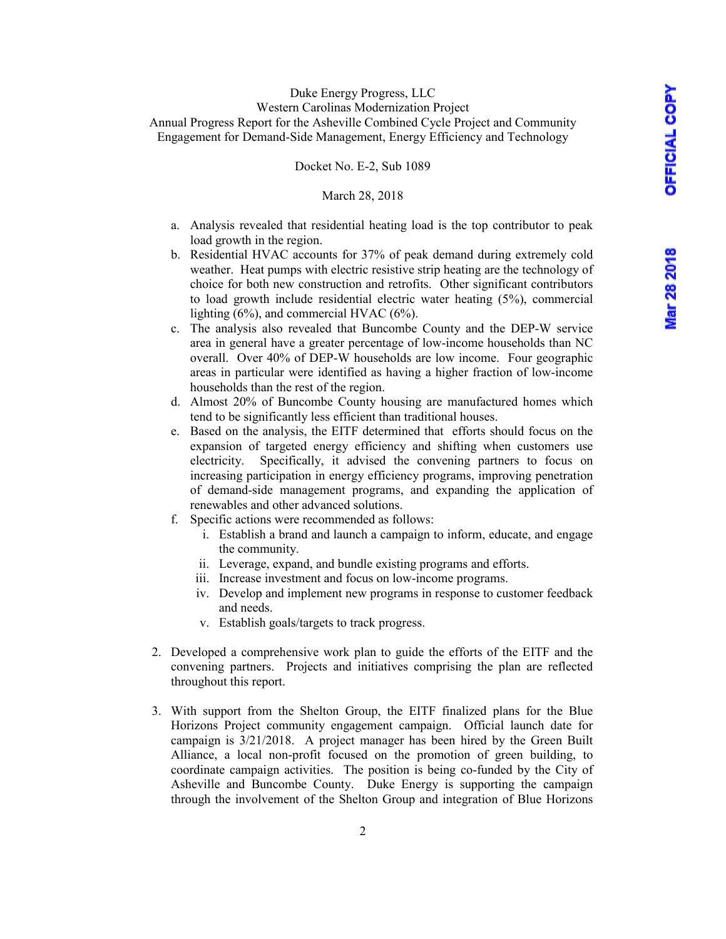Docket No. E-2, Sub 1089

#### March 28, 2018

- a. Analysis revealed that residential heating load is the top contributor to peak load growth in the region.
- b. Residential HVAC accounts for 37% of peak demand during extremely cold weather. Heat pumps with electric resistive strip heating are the technology of choice for both new construction and retrofits. Other significant contributors to load growth include residential electric water heating (5%), commercial lighting (6%), and commercial HVAC (6%).
- c. The analysis also revealed that Buncombe County and the DEP-W service area in general have a greater percentage of low-income households than NC overall. Over 40% of DEP-W households are low income. Four geographic areas in particular were identified as having a higher fraction of low-income households than the rest of the region.
- d. Almost 20% of Buncombe County housing are manufactured homes which tend to be significantly less efficient than traditional houses.
- e. Based on the analysis, the EITF determined that efforts should focus on the expansion of targeted energy efficiency and shifting when customers use electricity. Specifically, it advised the convening partners to focus on increasing participation in energy efficiency programs, improving penetration of demand-side management programs, and expanding the application of renewables and other advanced solutions.
- f. Specific actions were recommended as follows:
	- i. Establish a brand and launch a campaign to inform, educate, and engage the community.
	- ii. Leverage, expand, and bundle existing programs and efforts.
	- iii. Increase investment and focus on low-income programs.
	- iv. Develop and implement new programs in response to customer feedback and needs.
	- v. Establish goals/targets to track progress.
- 2. Developed a comprehensive work plan to guide the efforts of the EITF and the convening partners. Projects and initiatives comprising the plan are reflected throughout this report.
- 3. With support from the Shelton Group, the EITF finalized plans for the Blue Horizons Project community engagement campaign. Official launch date for campaign is 3/21/2018. A project manager has been hired by the Green Built Alliance, a local non-profit focused on the promotion of green building, to coordinate campaign activities. The position is being co-funded by the City of Asheville and Buncombe County. Duke Energy is supporting the campaign through the involvement of the Shelton Group and integration of Blue Horizons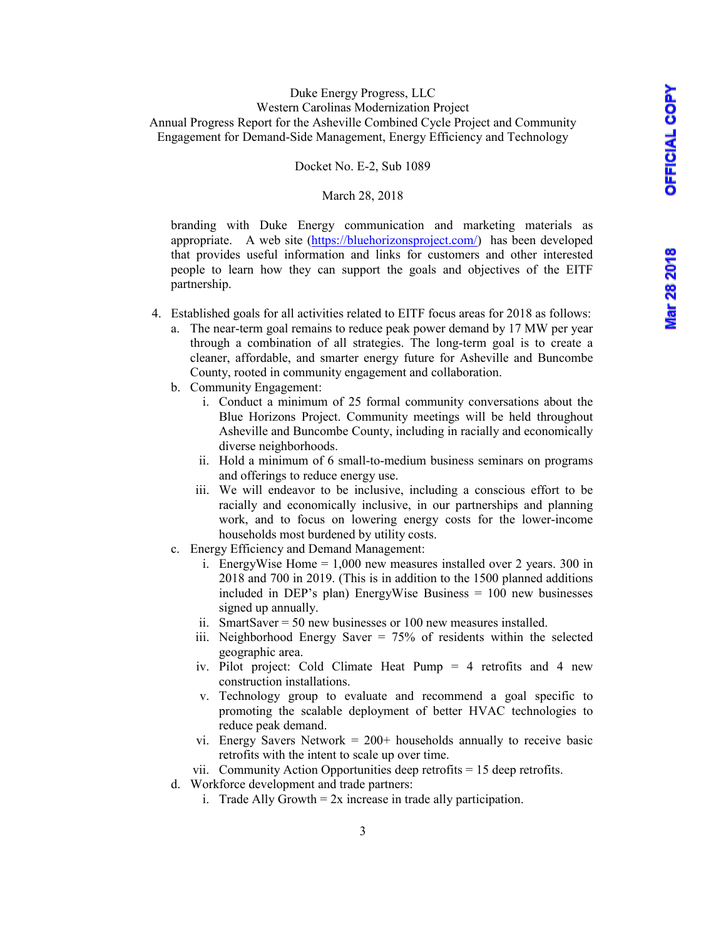Docket No. E-2, Sub 1089

#### March 28, 2018

branding with Duke Energy communication and marketing materials as appropriate. A web site (https://bluehorizonsproject.com/) has been developed that provides useful information and links for customers and other interested people to learn how they can support the goals and objectives of the EITF partnership.

- 4. Established goals for all activities related to EITF focus areas for 2018 as follows:
	- a. The near-term goal remains to reduce peak power demand by 17 MW per year through a combination of all strategies. The long-term goal is to create a cleaner, affordable, and smarter energy future for Asheville and Buncombe County, rooted in community engagement and collaboration.
	- b. Community Engagement:
		- i. Conduct a minimum of 25 formal community conversations about the Blue Horizons Project. Community meetings will be held throughout Asheville and Buncombe County, including in racially and economically diverse neighborhoods.
		- ii. Hold a minimum of 6 small-to-medium business seminars on programs and offerings to reduce energy use.
		- iii. We will endeavor to be inclusive, including a conscious effort to be racially and economically inclusive, in our partnerships and planning work, and to focus on lowering energy costs for the lower-income households most burdened by utility costs.
	- c. Energy Efficiency and Demand Management:
		- i. EnergyWise Home = 1,000 new measures installed over 2 years. 300 in 2018 and 700 in 2019. (This is in addition to the 1500 planned additions included in DEP's plan) EnergyWise Business = 100 new businesses signed up annually.
		- ii. SmartSaver = 50 new businesses or 100 new measures installed.
		- iii. Neighborhood Energy Saver = 75% of residents within the selected geographic area.
		- iv. Pilot project: Cold Climate Heat Pump = 4 retrofits and 4 new construction installations.
		- v. Technology group to evaluate and recommend a goal specific to promoting the scalable deployment of better HVAC technologies to reduce peak demand.
		- vi. Energy Savers Network  $= 200+$  households annually to receive basic retrofits with the intent to scale up over time.
		- vii. Community Action Opportunities deep retrofits = 15 deep retrofits.
	- d. Workforce development and trade partners:
		- i. Trade Ally Growth  $= 2x$  increase in trade ally participation.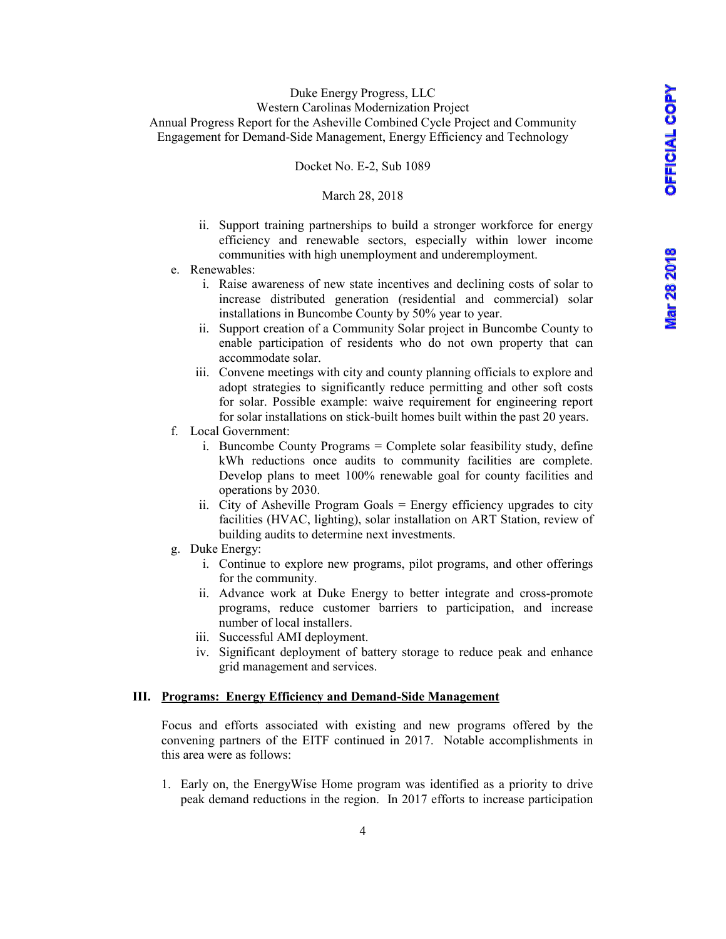Docket No. E-2, Sub 1089

## March 28, 2018

- ii. Support training partnerships to build a stronger workforce for energy efficiency and renewable sectors, especially within lower income communities with high unemployment and underemployment.
- e. Renewables:
	- i. Raise awareness of new state incentives and declining costs of solar to increase distributed generation (residential and commercial) solar installations in Buncombe County by 50% year to year.
	- ii. Support creation of a Community Solar project in Buncombe County to enable participation of residents who do not own property that can accommodate solar.
	- iii. Convene meetings with city and county planning officials to explore and adopt strategies to significantly reduce permitting and other soft costs for solar. Possible example: waive requirement for engineering report for solar installations on stick-built homes built within the past 20 years.
- f. Local Government:
	- i. Buncombe County Programs = Complete solar feasibility study, define kWh reductions once audits to community facilities are complete. Develop plans to meet 100% renewable goal for county facilities and operations by 2030.
	- ii. City of Asheville Program Goals = Energy efficiency upgrades to city facilities (HVAC, lighting), solar installation on ART Station, review of building audits to determine next investments.
- g. Duke Energy:
	- i. Continue to explore new programs, pilot programs, and other offerings for the community.
	- ii. Advance work at Duke Energy to better integrate and cross-promote programs, reduce customer barriers to participation, and increase number of local installers.
	- iii. Successful AMI deployment.
	- iv. Significant deployment of battery storage to reduce peak and enhance grid management and services.

### **III. Programs: Energy Efficiency and Demand-Side Management**

Focus and efforts associated with existing and new programs offered by the convening partners of the EITF continued in 2017. Notable accomplishments in this area were as follows:

1. Early on, the EnergyWise Home program was identified as a priority to drive peak demand reductions in the region. In 2017 efforts to increase participation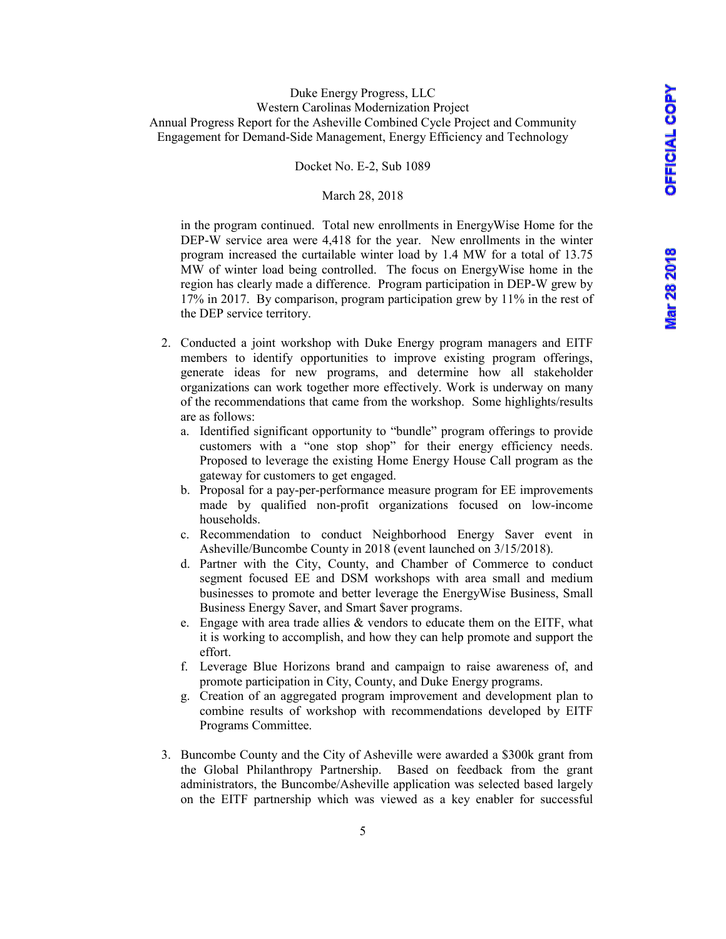#### Docket No. E-2, Sub 1089

#### March 28, 2018

in the program continued. Total new enrollments in EnergyWise Home for the DEP-W service area were 4,418 for the year. New enrollments in the winter program increased the curtailable winter load by 1.4 MW for a total of 13.75 MW of winter load being controlled. The focus on EnergyWise home in the region has clearly made a difference. Program participation in DEP-W grew by 17% in 2017. By comparison, program participation grew by 11% in the rest of the DEP service territory.

- 2. Conducted a joint workshop with Duke Energy program managers and EITF members to identify opportunities to improve existing program offerings, generate ideas for new programs, and determine how all stakeholder organizations can work together more effectively. Work is underway on many of the recommendations that came from the workshop. Some highlights/results are as follows:
	- a. Identified significant opportunity to "bundle" program offerings to provide customers with a "one stop shop" for their energy efficiency needs. Proposed to leverage the existing Home Energy House Call program as the gateway for customers to get engaged.
	- b. Proposal for a pay-per-performance measure program for EE improvements made by qualified non-profit organizations focused on low-income households.
	- c. Recommendation to conduct Neighborhood Energy Saver event in Asheville/Buncombe County in 2018 (event launched on 3/15/2018).
	- d. Partner with the City, County, and Chamber of Commerce to conduct segment focused EE and DSM workshops with area small and medium businesses to promote and better leverage the EnergyWise Business, Small Business Energy Saver, and Smart \$aver programs.
	- e. Engage with area trade allies  $\&$  vendors to educate them on the EITF, what it is working to accomplish, and how they can help promote and support the effort.
	- f. Leverage Blue Horizons brand and campaign to raise awareness of, and promote participation in City, County, and Duke Energy programs.
	- g. Creation of an aggregated program improvement and development plan to combine results of workshop with recommendations developed by EITF Programs Committee.
- 3. Buncombe County and the City of Asheville were awarded a \$300k grant from the Global Philanthropy Partnership. Based on feedback from the grant administrators, the Buncombe/Asheville application was selected based largely on the EITF partnership which was viewed as a key enabler for successful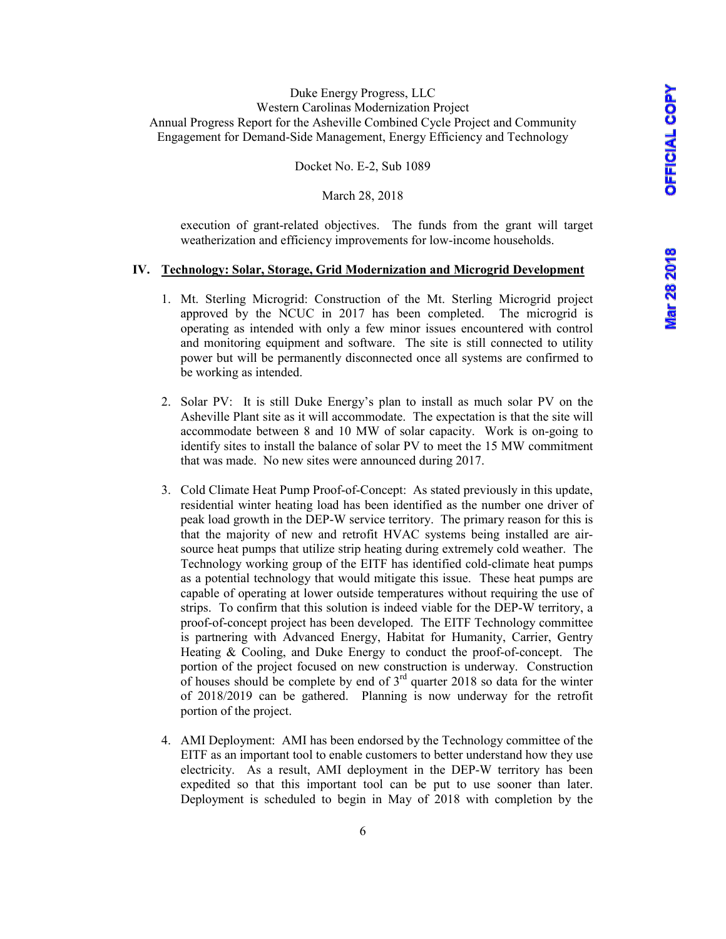Docket No. E-2, Sub 1089

March 28, 2018

execution of grant-related objectives. The funds from the grant will target weatherization and efficiency improvements for low-income households.

## **IV. Technology: Solar, Storage, Grid Modernization and Microgrid Development**

- 1. Mt. Sterling Microgrid: Construction of the Mt. Sterling Microgrid project approved by the NCUC in 2017 has been completed. The microgrid is operating as intended with only a few minor issues encountered with control and monitoring equipment and software. The site is still connected to utility power but will be permanently disconnected once all systems are confirmed to be working as intended.
- 2. Solar PV: It is still Duke Energy's plan to install as much solar PV on the Asheville Plant site as it will accommodate. The expectation is that the site will accommodate between 8 and 10 MW of solar capacity. Work is on-going to identify sites to install the balance of solar PV to meet the 15 MW commitment that was made. No new sites were announced during 2017.
- 3. Cold Climate Heat Pump Proof-of-Concept: As stated previously in this update, residential winter heating load has been identified as the number one driver of peak load growth in the DEP-W service territory. The primary reason for this is that the majority of new and retrofit HVAC systems being installed are airsource heat pumps that utilize strip heating during extremely cold weather. The Technology working group of the EITF has identified cold-climate heat pumps as a potential technology that would mitigate this issue. These heat pumps are capable of operating at lower outside temperatures without requiring the use of strips. To confirm that this solution is indeed viable for the DEP-W territory, a proof-of-concept project has been developed. The EITF Technology committee is partnering with Advanced Energy, Habitat for Humanity, Carrier, Gentry Heating & Cooling, and Duke Energy to conduct the proof-of-concept. The portion of the project focused on new construction is underway. Construction of houses should be complete by end of  $3<sup>rd</sup>$  quarter 2018 so data for the winter of 2018/2019 can be gathered. Planning is now underway for the retrofit portion of the project.
- 4. AMI Deployment: AMI has been endorsed by the Technology committee of the EITF as an important tool to enable customers to better understand how they use electricity. As a result, AMI deployment in the DEP-W territory has been expedited so that this important tool can be put to use sooner than later. Deployment is scheduled to begin in May of 2018 with completion by the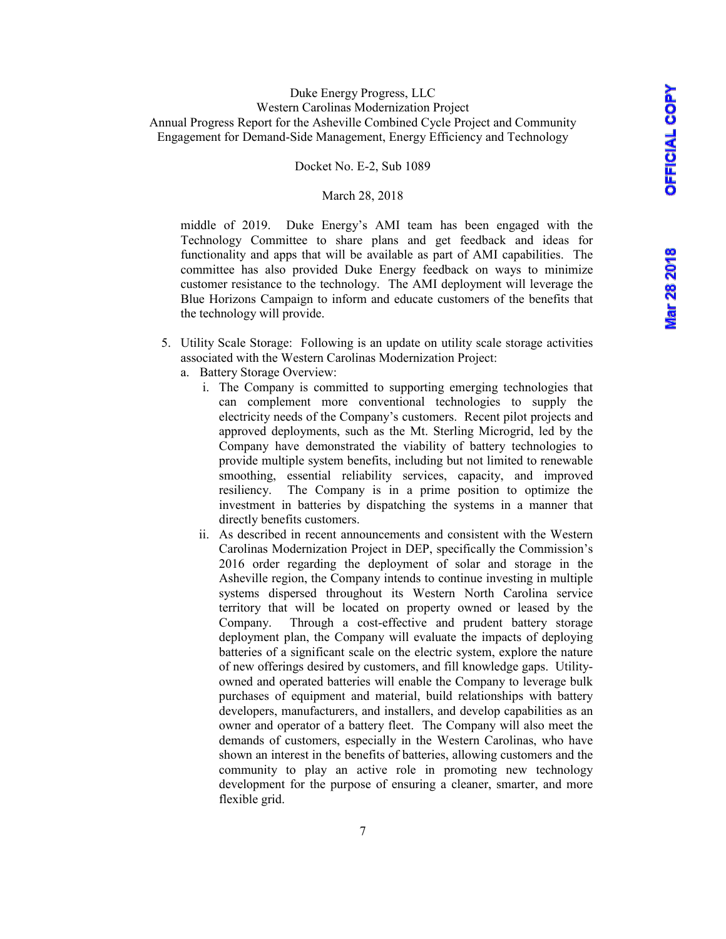#### Docket No. E-2, Sub 1089

#### March 28, 2018

middle of 2019. Duke Energy's AMI team has been engaged with the Technology Committee to share plans and get feedback and ideas for functionality and apps that will be available as part of AMI capabilities. The committee has also provided Duke Energy feedback on ways to minimize customer resistance to the technology. The AMI deployment will leverage the Blue Horizons Campaign to inform and educate customers of the benefits that the technology will provide.

- 5. Utility Scale Storage: Following is an update on utility scale storage activities associated with the Western Carolinas Modernization Project:
	- a. Battery Storage Overview:
		- i. The Company is committed to supporting emerging technologies that can complement more conventional technologies to supply the electricity needs of the Company's customers. Recent pilot projects and approved deployments, such as the Mt. Sterling Microgrid, led by the Company have demonstrated the viability of battery technologies to provide multiple system benefits, including but not limited to renewable smoothing, essential reliability services, capacity, and improved resiliency. The Company is in a prime position to optimize the investment in batteries by dispatching the systems in a manner that directly benefits customers.
		- ii. As described in recent announcements and consistent with the Western Carolinas Modernization Project in DEP, specifically the Commission's 2016 order regarding the deployment of solar and storage in the Asheville region, the Company intends to continue investing in multiple systems dispersed throughout its Western North Carolina service territory that will be located on property owned or leased by the Company. Through a cost-effective and prudent battery storage deployment plan, the Company will evaluate the impacts of deploying batteries of a significant scale on the electric system, explore the nature of new offerings desired by customers, and fill knowledge gaps. Utilityowned and operated batteries will enable the Company to leverage bulk purchases of equipment and material, build relationships with battery developers, manufacturers, and installers, and develop capabilities as an owner and operator of a battery fleet. The Company will also meet the demands of customers, especially in the Western Carolinas, who have shown an interest in the benefits of batteries, allowing customers and the community to play an active role in promoting new technology development for the purpose of ensuring a cleaner, smarter, and more flexible grid.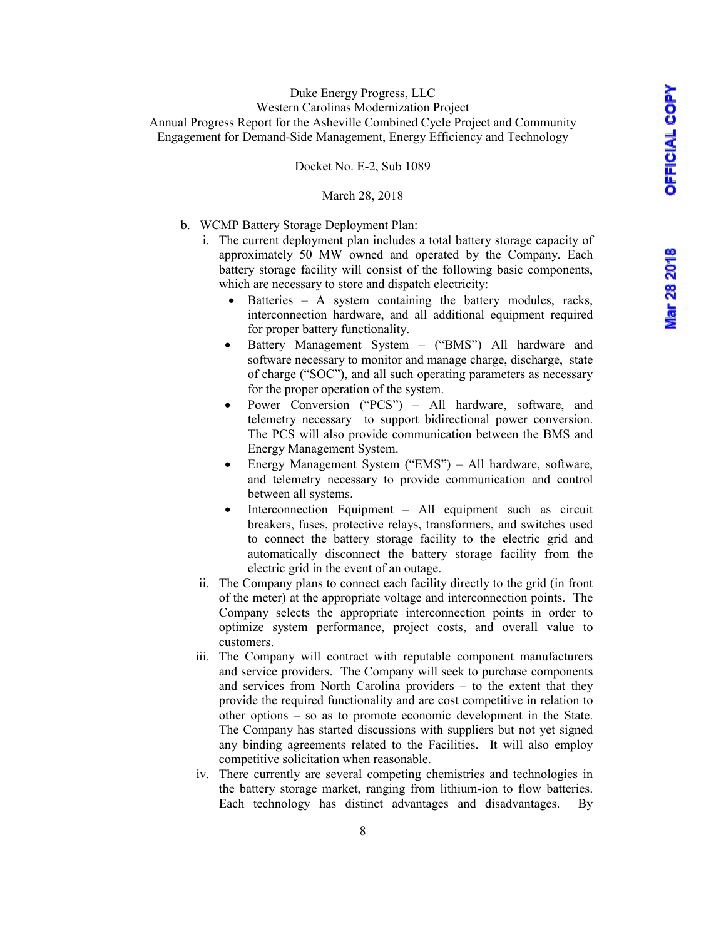#### Docket No. E-2, Sub 1089

#### March 28, 2018

- b. WCMP Battery Storage Deployment Plan:
	- i. The current deployment plan includes a total battery storage capacity of approximately 50 MW owned and operated by the Company. Each battery storage facility will consist of the following basic components, which are necessary to store and dispatch electricity:
		- Batteries  $-$  A system containing the battery modules, racks, interconnection hardware, and all additional equipment required for proper battery functionality.
		- Battery Management System ("BMS") All hardware and software necessary to monitor and manage charge, discharge, state of charge ("SOC"), and all such operating parameters as necessary for the proper operation of the system.
		- Power Conversion ("PCS") All hardware, software, and telemetry necessary to support bidirectional power conversion. The PCS will also provide communication between the BMS and Energy Management System.
		- Energy Management System ("EMS") All hardware, software, and telemetry necessary to provide communication and control between all systems.
		- Interconnection Equipment All equipment such as circuit breakers, fuses, protective relays, transformers, and switches used to connect the battery storage facility to the electric grid and automatically disconnect the battery storage facility from the electric grid in the event of an outage.
	- ii. The Company plans to connect each facility directly to the grid (in front of the meter) at the appropriate voltage and interconnection points. The Company selects the appropriate interconnection points in order to optimize system performance, project costs, and overall value to customers.
	- iii. The Company will contract with reputable component manufacturers and service providers. The Company will seek to purchase components and services from North Carolina providers – to the extent that they provide the required functionality and are cost competitive in relation to other options – so as to promote economic development in the State. The Company has started discussions with suppliers but not yet signed any binding agreements related to the Facilities. It will also employ competitive solicitation when reasonable.
	- iv. There currently are several competing chemistries and technologies in the battery storage market, ranging from lithium-ion to flow batteries. Each technology has distinct advantages and disadvantages. By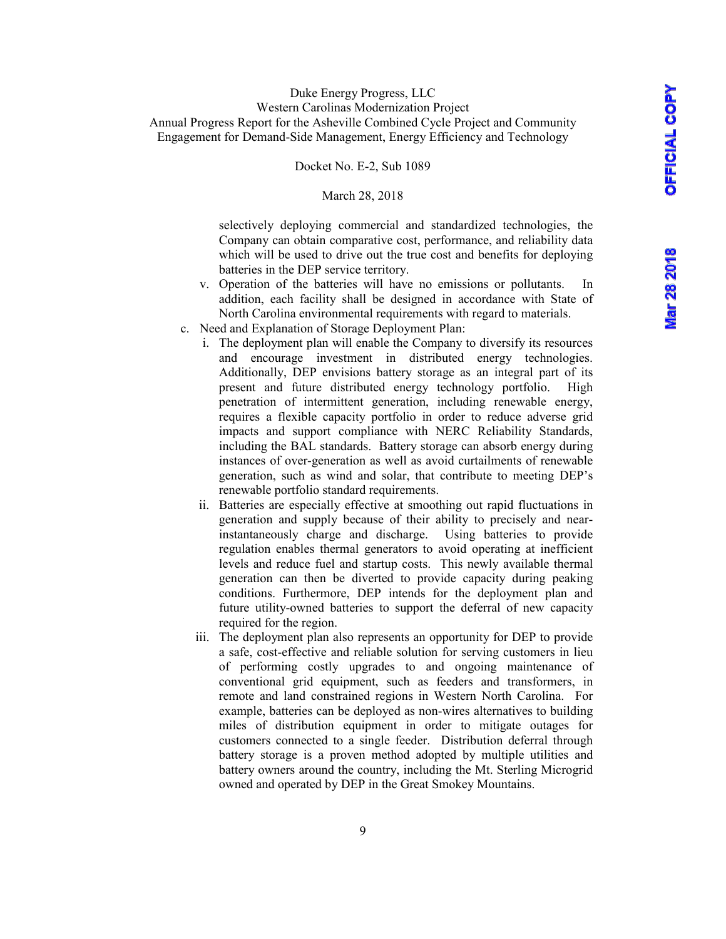Docket No. E-2, Sub 1089

#### March 28, 2018

selectively deploying commercial and standardized technologies, the Company can obtain comparative cost, performance, and reliability data which will be used to drive out the true cost and benefits for deploying batteries in the DEP service territory.

- v. Operation of the batteries will have no emissions or pollutants. In addition, each facility shall be designed in accordance with State of North Carolina environmental requirements with regard to materials.
- c. Need and Explanation of Storage Deployment Plan:
	- i. The deployment plan will enable the Company to diversify its resources and encourage investment in distributed energy technologies. Additionally, DEP envisions battery storage as an integral part of its present and future distributed energy technology portfolio. High penetration of intermittent generation, including renewable energy, requires a flexible capacity portfolio in order to reduce adverse grid impacts and support compliance with NERC Reliability Standards, including the BAL standards. Battery storage can absorb energy during instances of over-generation as well as avoid curtailments of renewable generation, such as wind and solar, that contribute to meeting DEP's renewable portfolio standard requirements.
	- ii. Batteries are especially effective at smoothing out rapid fluctuations in generation and supply because of their ability to precisely and nearinstantaneously charge and discharge. Using batteries to provide regulation enables thermal generators to avoid operating at inefficient levels and reduce fuel and startup costs. This newly available thermal generation can then be diverted to provide capacity during peaking conditions. Furthermore, DEP intends for the deployment plan and future utility-owned batteries to support the deferral of new capacity required for the region.
	- iii. The deployment plan also represents an opportunity for DEP to provide a safe, cost-effective and reliable solution for serving customers in lieu of performing costly upgrades to and ongoing maintenance of conventional grid equipment, such as feeders and transformers, in remote and land constrained regions in Western North Carolina. For example, batteries can be deployed as non-wires alternatives to building miles of distribution equipment in order to mitigate outages for customers connected to a single feeder. Distribution deferral through battery storage is a proven method adopted by multiple utilities and battery owners around the country, including the Mt. Sterling Microgrid owned and operated by DEP in the Great Smokey Mountains.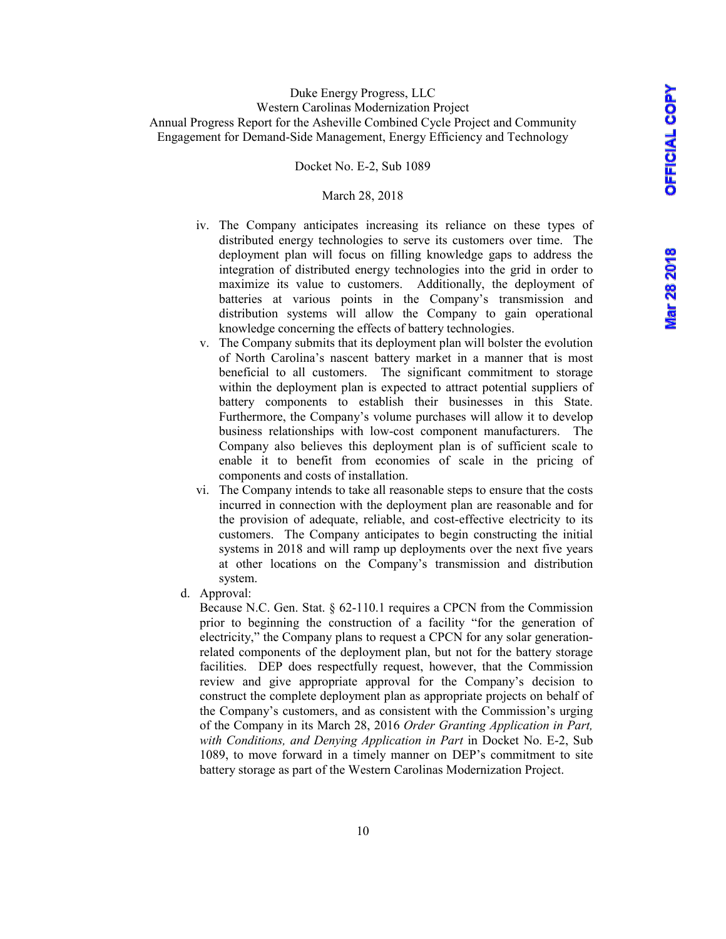#### Docket No. E-2, Sub 1089

#### March 28, 2018

- iv. The Company anticipates increasing its reliance on these types of distributed energy technologies to serve its customers over time. The deployment plan will focus on filling knowledge gaps to address the integration of distributed energy technologies into the grid in order to maximize its value to customers.Additionally, the deployment of batteries at various points in the Company's transmission and distribution systems will allow the Company to gain operational knowledge concerning the effects of battery technologies.
- v. The Company submits that its deployment plan will bolster the evolution of North Carolina's nascent battery market in a manner that is most beneficial to all customers. The significant commitment to storage within the deployment plan is expected to attract potential suppliers of battery components to establish their businesses in this State. Furthermore, the Company's volume purchases will allow it to develop business relationships with low-cost component manufacturers. The Company also believes this deployment plan is of sufficient scale to enable it to benefit from economies of scale in the pricing of components and costs of installation.
- vi. The Company intends to take all reasonable steps to ensure that the costs incurred in connection with the deployment plan are reasonable and for the provision of adequate, reliable, and cost-effective electricity to its customers. The Company anticipates to begin constructing the initial systems in 2018 and will ramp up deployments over the next five years at other locations on the Company's transmission and distribution system.
- d. Approval:

Because N.C. Gen. Stat. § 62-110.1 requires a CPCN from the Commission prior to beginning the construction of a facility "for the generation of electricity," the Company plans to request a CPCN for any solar generationrelated components of the deployment plan, but not for the battery storage facilities. DEP does respectfully request, however, that the Commission review and give appropriate approval for the Company's decision to construct the complete deployment plan as appropriate projects on behalf of the Company's customers, and as consistent with the Commission's urging of the Company in its March 28, 2016 *Order Granting Application in Part, with Conditions, and Denying Application in Part* in Docket No. E-2, Sub 1089, to move forward in a timely manner on DEP's commitment to site battery storage as part of the Western Carolinas Modernization Project.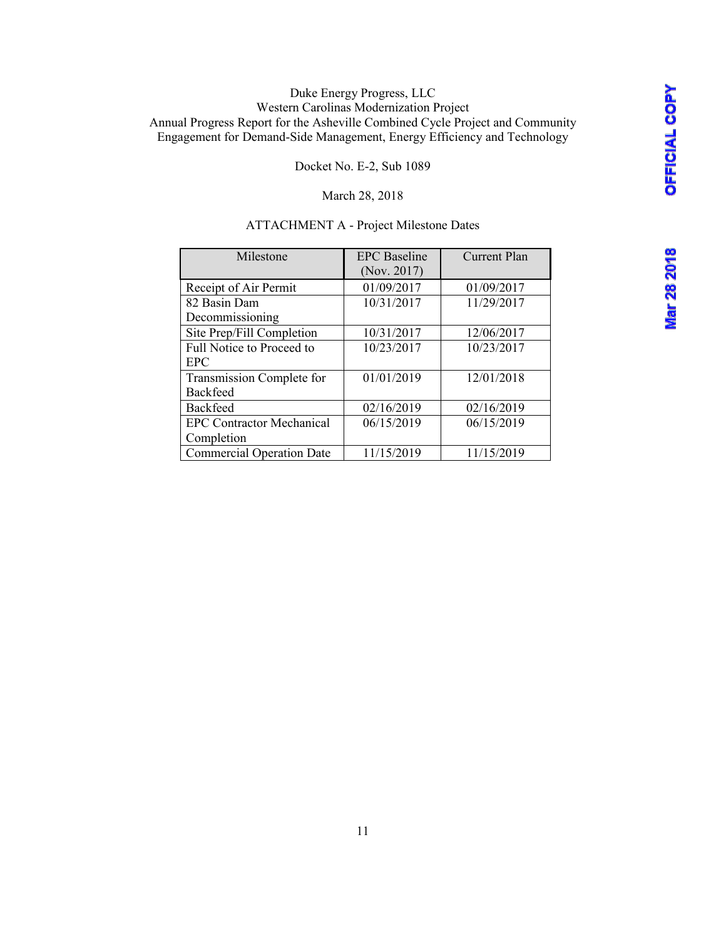**Mar 28 2018** 

# Duke Energy Progress, LLC Western Carolinas Modernization Project Annual Progress Report for the Asheville Combined Cycle Project and Community Engagement for Demand-Side Management, Energy Efficiency and Technology

Docket No. E-2, Sub 1089

## March 28, 2018

## ATTACHMENT A - Project Milestone Dates

| Milestone                        | <b>EPC</b> Baseline | <b>Current Plan</b> |
|----------------------------------|---------------------|---------------------|
|                                  | (Nov. 2017)         |                     |
| Receipt of Air Permit            | 01/09/2017          | 01/09/2017          |
| 82 Basin Dam                     | 10/31/2017          | 11/29/2017          |
| Decommissioning                  |                     |                     |
| Site Prep/Fill Completion        | 10/31/2017          | 12/06/2017          |
| Full Notice to Proceed to        | 10/23/2017          | 10/23/2017          |
| <b>EPC</b>                       |                     |                     |
| Transmission Complete for        | 01/01/2019          | 12/01/2018          |
| <b>Backfeed</b>                  |                     |                     |
| <b>Backfeed</b>                  | 02/16/2019          | 02/16/2019          |
| <b>EPC Contractor Mechanical</b> | 06/15/2019          | 06/15/2019          |
| Completion                       |                     |                     |
| <b>Commercial Operation Date</b> | 11/15/2019          | 11/15/2019          |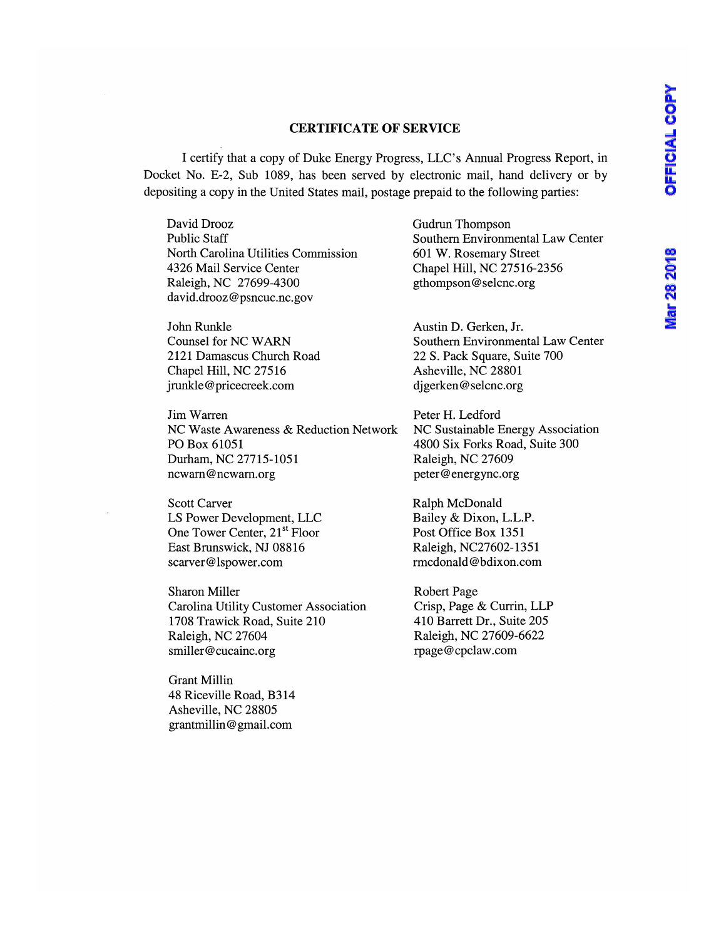# **Mar 28 2018**

## **CERTIFICATE OF SERVICE**

I certify that a copy of Duke Energy Progress, LLC's Annual Progress Report, in Docket No. E-2, Sub 1089, has been served by electronic mail, hand delivery or by depositing a copy in the United States mail, postage prepaid to the following parties:

David Drooz Public Staff North Carolina Utilities Commission 4326 Mail Service Center Raleigh, NC 27699-4300 david.drooz@psncuc.nc.gov

John Runkle Counsel for NC WARN 2121 Damascus Church Road Chapel Hill, NC 27516 jrunkle@pricecreek.com

Jim Warren NC Waste Awareness & Reduction Network PO Box 61051 Durham, NC 27715-1051 ncwam@ncwarn.org

Scott Carver LS Power Development, LLC One Tower Center, 21<sup>st</sup> Floor East Brunswick, NJ 08816 scarver@lspower.com

Sharon Miller Carolina Utility Customer Association 1708 Trawick Road, Suite 210 Raleigh, NC 27604 smiller@cucainc.org

Grant Millin 48 Riceville Road, B314 Asheville, NC 28805 grantmillin@gmail.com

Gudrun Thompson Southern Environmental Law Center 601 W. Rosemary Street Chapel Hill, NC 27516-2356 gthompson@selcnc.org

Austin D. Gerken, Jr. Southern Environmental Law Center 22 S. Pack Square, Suite 700 Asheville, NC 28801 djgerken@selcnc.org

Peter H. Ledford NC Sustainable Energy Association 4800 Six Forks Road, Suite 300 Raleigh, NC 27609 peter@energync.org

Ralph McDonald Bailey & Dixon, L.L.P. Post Office Box 1351 Raleigh, NC27602-1351 rmcdonald@bdixon.com

Robert Page Crisp, Page & Currin, LLP 410 Barrett Dr., Suite 205 Raleigh, NC 27609-6622 rpage@cpclaw.com